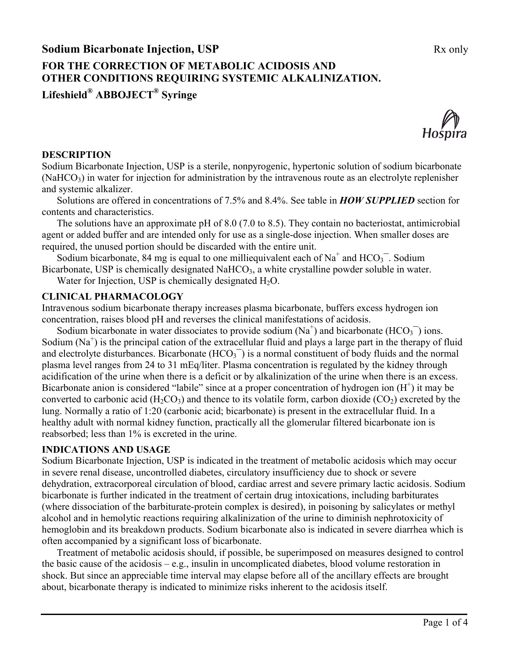# **FOR THE CORRECTION OF METABOLIC ACIDOSIS AND OTHER CONDITIONS REQUIRING SYSTEMIC ALKALINIZATION.**

**Lifeshield® ABBOJECT® Syringe**



#### **DESCRIPTION**

Sodium Bicarbonate Injection, USP is a sterile, nonpyrogenic, hypertonic solution of sodium bicarbonate  $(NaHCO<sub>3</sub>)$  in water for injection for administration by the intravenous route as an electrolyte replenisher and systemic alkalizer.

Solutions are offered in concentrations of 7.5% and 8.4%. See table in *HOW SUPPLIED* section for contents and characteristics.

The solutions have an approximate pH of 8.0 (7.0 to 8.5). They contain no bacteriostat, antimicrobial agent or added buffer and are intended only for use as a single-dose injection. When smaller doses are required, the unused portion should be discarded with the entire unit.

Sodium bicarbonate, 84 mg is equal to one milliequivalent each of  $Na<sup>+</sup>$  and  $HCO<sub>3</sub><sup>-</sup>$ . Sodium Bicarbonate, USP is chemically designated NaHCO<sub>3</sub>, a white crystalline powder soluble in water.

Water for Injection, USP is chemically designated  $H_2O$ .

#### **CLINICAL PHARMACOLOGY**

Intravenous sodium bicarbonate therapy increases plasma bicarbonate, buffers excess hydrogen ion concentration, raises blood pH and reverses the clinical manifestations of acidosis.

Sodium bicarbonate in water dissociates to provide sodium  $(Na^+)$  and bicarbonate  $(HCO_3^-)$  ions. Sodium  $(Na^+)$  is the principal cation of the extracellular fluid and plays a large part in the therapy of fluid and electrolyte disturbances. Bicarbonate  $(HCO<sub>3</sub><sup>-</sup>)$  is a normal constituent of body fluids and the normal plasma level ranges from 24 to 31 mEq/liter. Plasma concentration is regulated by the kidney through acidification of the urine when there is a deficit or by alkalinization of the urine when there is an excess. Bicarbonate anion is considered "labile" since at a proper concentration of hydrogen ion  $(H<sup>+</sup>)$  it may be converted to carbonic acid (H<sub>2</sub>CO<sub>3</sub>) and thence to its volatile form, carbon dioxide (CO<sub>2</sub>) excreted by the lung. Normally a ratio of 1:20 (carbonic acid; bicarbonate) is present in the extracellular fluid. In a healthy adult with normal kidney function, practically all the glomerular filtered bicarbonate ion is reabsorbed; less than 1% is excreted in the urine.

#### **INDICATIONS AND USAGE**

Sodium Bicarbonate Injection, USP is indicated in the treatment of metabolic acidosis which may occur in severe renal disease, uncontrolled diabetes, circulatory insufficiency due to shock or severe dehydration, extracorporeal circulation of blood, cardiac arrest and severe primary lactic acidosis. Sodium bicarbonate is further indicated in the treatment of certain drug intoxications, including barbiturates (where dissociation of the barbiturate-protein complex is desired), in poisoning by salicylates or methyl alcohol and in hemolytic reactions requiring alkalinization of the urine to diminish nephrotoxicity of hemoglobin and its breakdown products. Sodium bicarbonate also is indicated in severe diarrhea which is often accompanied by a significant loss of bicarbonate.

Treatment of metabolic acidosis should, if possible, be superimposed on measures designed to control the basic cause of the acidosis – e.g., insulin in uncomplicated diabetes, blood volume restoration in shock. But since an appreciable time interval may elapse before all of the ancillary effects are brought about, bicarbonate therapy is indicated to minimize risks inherent to the acidosis itself.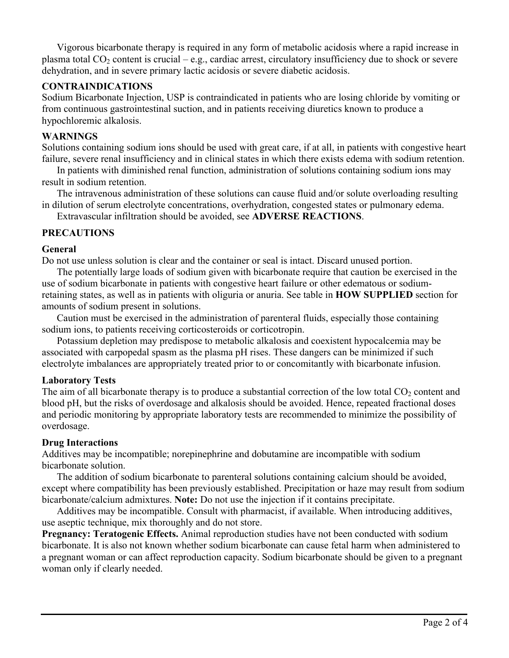Vigorous bicarbonate therapy is required in any form of metabolic acidosis where a rapid increase in plasma total  $CO<sub>2</sub>$  content is crucial – e.g., cardiac arrest, circulatory insufficiency due to shock or severe dehydration, and in severe primary lactic acidosis or severe diabetic acidosis.

### **CONTRAINDICATIONS**

Sodium Bicarbonate Injection, USP is contraindicated in patients who are losing chloride by vomiting or from continuous gastrointestinal suction, and in patients receiving diuretics known to produce a hypochloremic alkalosis.

#### **WARNINGS**

Solutions containing sodium ions should be used with great care, if at all, in patients with congestive heart failure, severe renal insufficiency and in clinical states in which there exists edema with sodium retention.

In patients with diminished renal function, administration of solutions containing sodium ions may result in sodium retention.

The intravenous administration of these solutions can cause fluid and/or solute overloading resulting in dilution of serum electrolyte concentrations, overhydration, congested states or pulmonary edema.

Extravascular infiltration should be avoided, see **ADVERSE REACTIONS**.

## **PRECAUTIONS**

#### **General**

Do not use unless solution is clear and the container or seal is intact. Discard unused portion.

The potentially large loads of sodium given with bicarbonate require that caution be exercised in the use of sodium bicarbonate in patients with congestive heart failure or other edematous or sodiumretaining states, as well as in patients with oliguria or anuria. See table in **HOW SUPPLIED** section for amounts of sodium present in solutions.

Caution must be exercised in the administration of parenteral fluids, especially those containing sodium ions, to patients receiving corticosteroids or corticotropin.

Potassium depletion may predispose to metabolic alkalosis and coexistent hypocalcemia may be associated with carpopedal spasm as the plasma pH rises. These dangers can be minimized if such electrolyte imbalances are appropriately treated prior to or concomitantly with bicarbonate infusion.

#### **Laboratory Tests**

The aim of all bicarbonate therapy is to produce a substantial correction of the low total  $CO<sub>2</sub>$  content and blood pH, but the risks of overdosage and alkalosis should be avoided. Hence, repeated fractional doses and periodic monitoring by appropriate laboratory tests are recommended to minimize the possibility of overdosage.

#### **Drug Interactions**

Additives may be incompatible; norepinephrine and dobutamine are incompatible with sodium bicarbonate solution.

The addition of sodium bicarbonate to parenteral solutions containing calcium should be avoided, except where compatibility has been previously established. Precipitation or haze may result from sodium bicarbonate/calcium admixtures. **Note:** Do not use the injection if it contains precipitate.

Additives may be incompatible. Consult with pharmacist, if available. When introducing additives, use aseptic technique, mix thoroughly and do not store.

**Pregnancy: Teratogenic Effects.** Animal reproduction studies have not been conducted with sodium bicarbonate. It is also not known whether sodium bicarbonate can cause fetal harm when administered to a pregnant woman or can affect reproduction capacity. Sodium bicarbonate should be given to a pregnant woman only if clearly needed.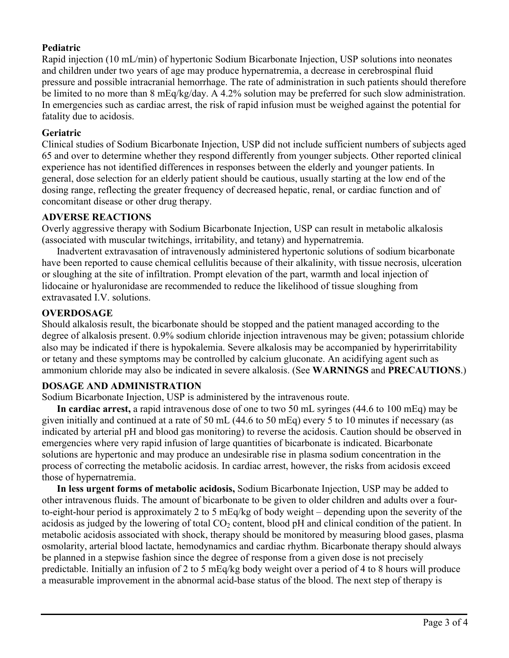## **Pediatric**

Rapid injection (10 mL/min) of hypertonic Sodium Bicarbonate Injection, USP solutions into neonates and children under two years of age may produce hypernatremia, a decrease in cerebrospinal fluid pressure and possible intracranial hemorrhage. The rate of administration in such patients should therefore be limited to no more than 8 mEq/kg/day. A 4.2% solution may be preferred for such slow administration. In emergencies such as cardiac arrest, the risk of rapid infusion must be weighed against the potential for fatality due to acidosis.

## **Geriatric**

Clinical studies of Sodium Bicarbonate Injection, USP did not include sufficient numbers of subjects aged 65 and over to determine whether they respond differently from younger subjects. Other reported clinical experience has not identified differences in responses between the elderly and younger patients. In general, dose selection for an elderly patient should be cautious, usually starting at the low end of the dosing range, reflecting the greater frequency of decreased hepatic, renal, or cardiac function and of concomitant disease or other drug therapy.

## **ADVERSE REACTIONS**

Overly aggressive therapy with Sodium Bicarbonate Injection, USP can result in metabolic alkalosis (associated with muscular twitchings, irritability, and tetany) and hypernatremia.

Inadvertent extravasation of intravenously administered hypertonic solutions of sodium bicarbonate have been reported to cause chemical cellulitis because of their alkalinity, with tissue necrosis, ulceration or sloughing at the site of infiltration. Prompt elevation of the part, warmth and local injection of lidocaine or hyaluronidase are recommended to reduce the likelihood of tissue sloughing from extravasated I.V. solutions.

## **OVERDOSAGE**

Should alkalosis result, the bicarbonate should be stopped and the patient managed according to the degree of alkalosis present. 0.9% sodium chloride injection intravenous may be given; potassium chloride also may be indicated if there is hypokalemia. Severe alkalosis may be accompanied by hyperirritability or tetany and these symptoms may be controlled by calcium gluconate. An acidifying agent such as ammonium chloride may also be indicated in severe alkalosis. (See **WARNINGS** and **PRECAUTIONS**.)

## **DOSAGE AND ADMINISTRATION**

Sodium Bicarbonate Injection, USP is administered by the intravenous route.

**In cardiac arrest,** a rapid intravenous dose of one to two 50 mL syringes (44.6 to 100 mEq) may be given initially and continued at a rate of 50 mL (44.6 to 50 mEq) every 5 to 10 minutes if necessary (as indicated by arterial pH and blood gas monitoring) to reverse the acidosis. Caution should be observed in emergencies where very rapid infusion of large quantities of bicarbonate is indicated. Bicarbonate solutions are hypertonic and may produce an undesirable rise in plasma sodium concentration in the process of correcting the metabolic acidosis. In cardiac arrest, however, the risks from acidosis exceed those of hypernatremia.

**In less urgent forms of metabolic acidosis,** Sodium Bicarbonate Injection, USP may be added to other intravenous fluids. The amount of bicarbonate to be given to older children and adults over a fourto-eight-hour period is approximately 2 to 5 mEq/kg of body weight – depending upon the severity of the acidosis as judged by the lowering of total  $CO<sub>2</sub>$  content, blood pH and clinical condition of the patient. In metabolic acidosis associated with shock, therapy should be monitored by measuring blood gases, plasma osmolarity, arterial blood lactate, hemodynamics and cardiac rhythm. Bicarbonate therapy should always be planned in a stepwise fashion since the degree of response from a given dose is not precisely predictable. Initially an infusion of 2 to 5 mEq/kg body weight over a period of 4 to 8 hours will produce a measurable improvement in the abnormal acid-base status of the blood. The next step of therapy is